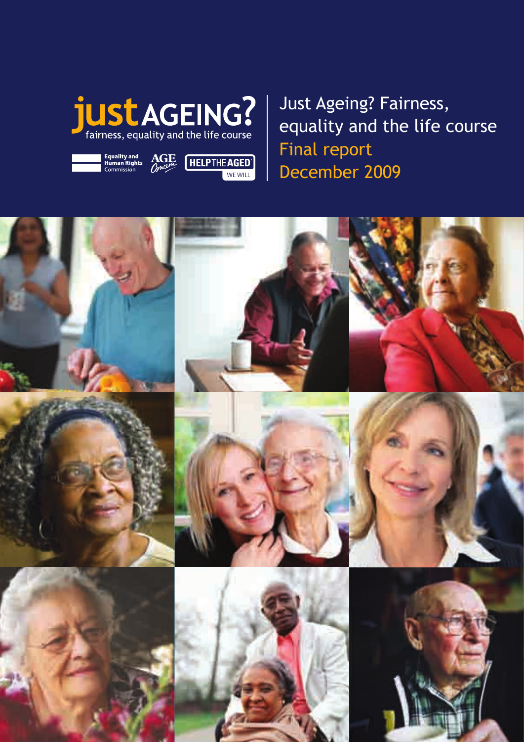

Equality and **AGE HELPTHE AGED** 



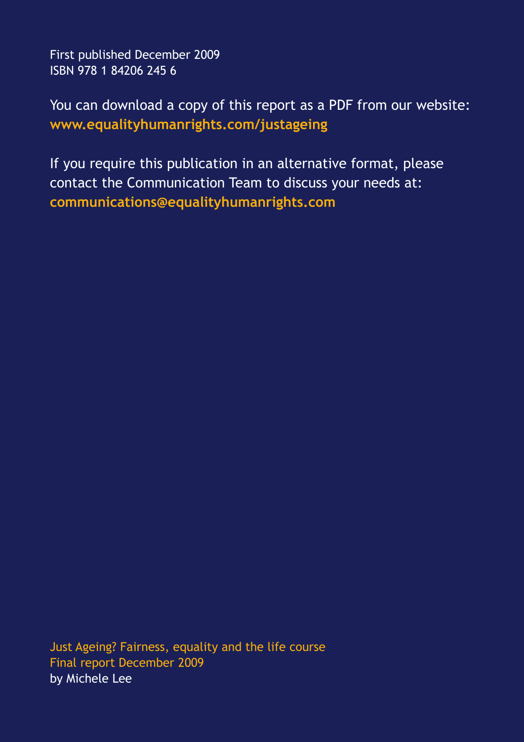First published December 2009 ISBN 978 1 84206 245 6

You can download a copy of this report as a PDF from our website: **www.equalityhumanrights.com/justageing**

If you require this publication in an alternative format, please contact the Communication Team to discuss your needs at: **communications@equalityhumanrights.com**

Just Ageing? Fairness, equality and the life course Final report December 2009 by Michele Lee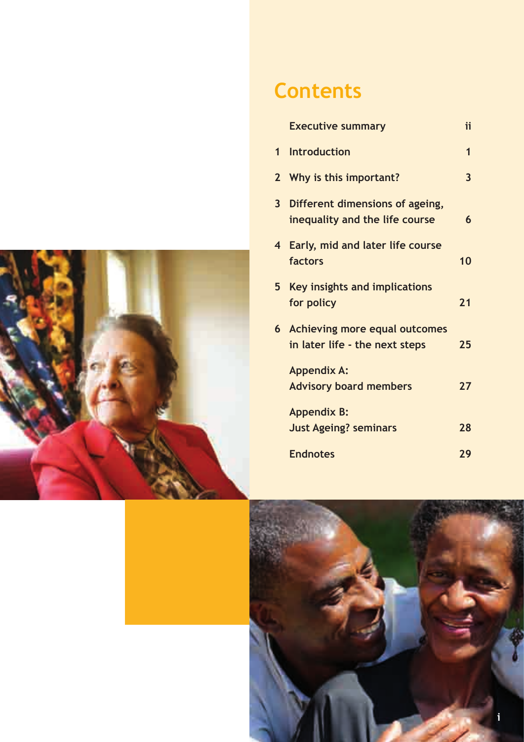

### **Contents**

|                         | <b>Executive summary</b>                                               | ii           |
|-------------------------|------------------------------------------------------------------------|--------------|
|                         | 1 Introduction                                                         | 1            |
|                         | 2 Why is this important?                                               | $\mathbf{3}$ |
| $\overline{\mathbf{3}}$ | Different dimensions of ageing,<br>inequality and the life course      | 6            |
|                         | 4 Early, mid and later life course<br>factors                          | 10           |
| 5                       | Key insights and implications<br>for policy                            | 21           |
| 6                       | <b>Achieving more equal outcomes</b><br>in later life - the next steps | 25           |
|                         | <b>Appendix A:</b><br><b>Advisory board members</b>                    | 27           |
|                         | <b>Appendix B:</b><br><b>Just Ageing? seminars</b>                     | 28           |
|                         | <b>Endnotes</b>                                                        | 29           |

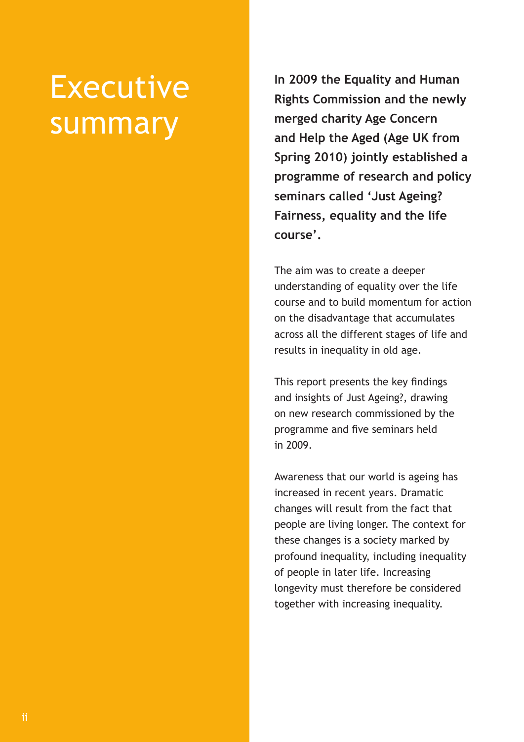## Executive summary

**In 2009 the Equality and Human Rights Commission and the newly merged charity Age Concern and Help the Aged (Age UK from Spring 2010) jointly established a programme of research and policy seminars called 'Just Ageing? Fairness, equality and the life course'.** 

The aim was to create a deeper understanding of equality over the life course and to build momentum for action on the disadvantage that accumulates across all the different stages of life and results in inequality in old age.

This report presents the key findings and insights of Just Ageing?, drawing on new research commissioned by the programme and five seminars held in 2009.

Awareness that our world is ageing has increased in recent years. Dramatic changes will result from the fact that people are living longer. The context for these changes is a society marked by profound inequality, including inequality of people in later life. Increasing longevity must therefore be considered together with increasing inequality.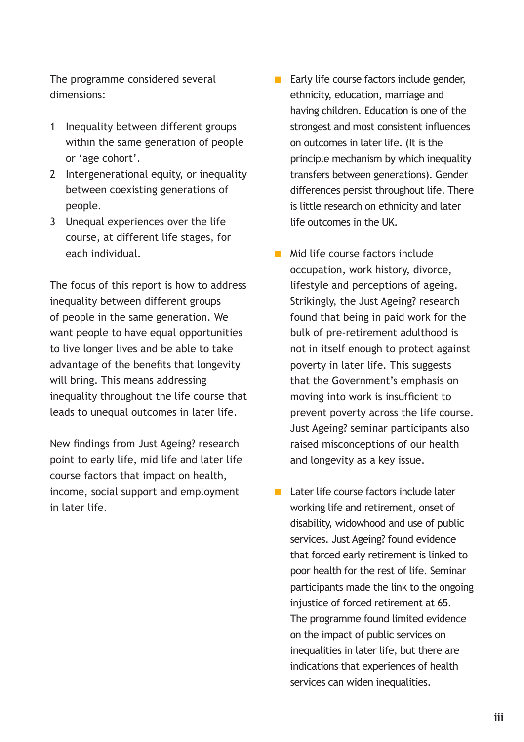The programme considered several dimensions:

- 1 Inequality between different groups within the same generation of people or 'age cohort'.
- 2 Intergenerational equity, or inequality between coexisting generations of people.
- 3 Unequal experiences over the life course, at different life stages, for each individual.

The focus of this report is how to address inequality between different groups of people in the same generation. We want people to have equal opportunities to live longer lives and be able to take advantage of the benefits that longevity will bring. This means addressing inequality throughout the life course that leads to unequal outcomes in later life.

New findings from Just Ageing? research point to early life, mid life and later life course factors that impact on health, income, social support and employment in later life.

- $\blacksquare$  Early life course factors include gender, ethnicity, education, marriage and having children. Education is one of the strongest and most consistent influences on outcomes in later life. (It is the principle mechanism by which inequality transfers between generations). Gender differences persist throughout life. There is little research on ethnicity and later life outcomes in the UK.
- $\blacksquare$  Mid life course factors include occupation, work history, divorce, lifestyle and perceptions of ageing. Strikingly, the Just Ageing? research found that being in paid work for the bulk of pre-retirement adulthood is not in itself enough to protect against poverty in later life. This suggests that the Government's emphasis on moving into work is insufficient to prevent poverty across the life course. Just Ageing? seminar participants also raised misconceptions of our health and longevity as a key issue.
- $\blacksquare$  Later life course factors include later working life and retirement, onset of disability, widowhood and use of public services. Just Ageing? found evidence that forced early retirement is linked to poor health for the rest of life. Seminar participants made the link to the ongoing injustice of forced retirement at 65. The programme found limited evidence on the impact of public services on inequalities in later life, but there are indications that experiences of health services can widen inequalities.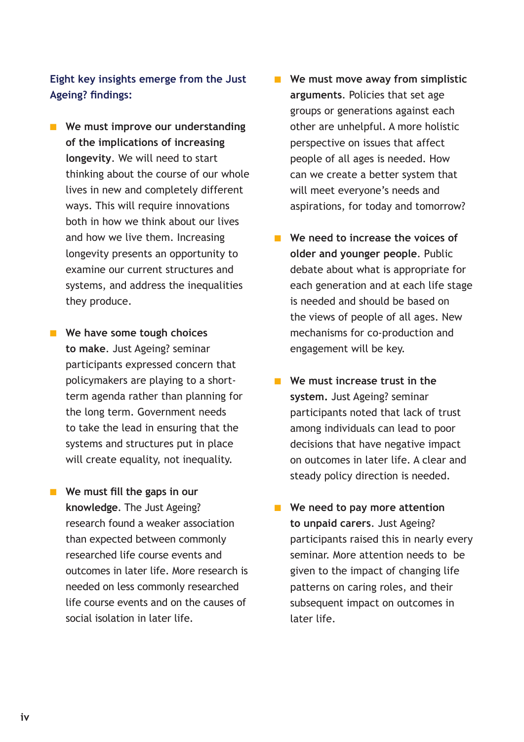**Eight key insights emerge from the Just Ageing? findings:** 

- **n** We must improve our understanding **of the implications of increasing longevity**. We will need to start thinking about the course of our whole lives in new and completely different ways. This will require innovations both in how we think about our lives and how we live them. Increasing longevity presents an opportunity to examine our current structures and systems, and address the inequalities they produce.
- **Notable 1 We have some tough choices to make**. Just Ageing? seminar participants expressed concern that policymakers are playing to a shortterm agenda rather than planning for the long term. Government needs to take the lead in ensuring that the systems and structures put in place will create equality, not inequality.
- **No Me must fill the gaps in our knowledge**. The Just Ageing? research found a weaker association than expected between commonly researched life course events and outcomes in later life. More research is needed on less commonly researched life course events and on the causes of social isolation in later life.
- **n** We must move away from simplistic **arguments**. Policies that set age groups or generations against each other are unhelpful. A more holistic perspective on issues that affect people of all ages is needed. How can we create a better system that will meet everyone's needs and aspirations, for today and tomorrow?
- **n** We need to increase the voices of **older and younger people**. Public debate about what is appropriate for each generation and at each life stage is needed and should be based on the views of people of all ages. New mechanisms for co-production and engagement will be key.
- **n** We must increase trust in the **system.** Just Ageing? seminar participants noted that lack of trust among individuals can lead to poor decisions that have negative impact on outcomes in later life. A clear and steady policy direction is needed.
- **n** We need to pay more attention **to unpaid carers**. Just Ageing? participants raised this in nearly every seminar. More attention needs to be given to the impact of changing life patterns on caring roles, and their subsequent impact on outcomes in later life.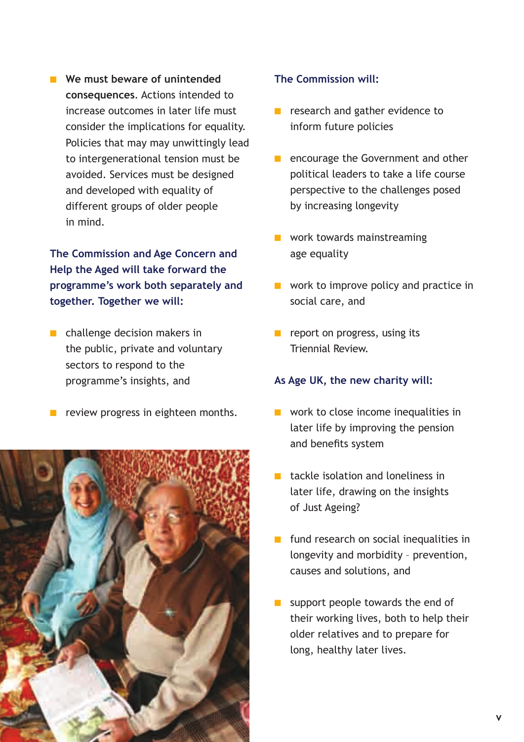**No. 8 We must beware of unintended consequences**. Actions intended to increase outcomes in later life must consider the implications for equality. Policies that may may unwittingly lead to intergenerational tension must be avoided. Services must be designed and developed with equality of different groups of older people in mind.

**The Commission and Age Concern and Help the Aged will take forward the programme's work both separately and together. Together we will:**

- $\blacksquare$  challenge decision makers in the public, private and voluntary sectors to respond to the programme's insights, and
- $\blacksquare$  review progress in eighteen months.



### **The Commission will:**

- $\blacksquare$  research and gather evidence to inform future policies
- **n** encourage the Government and other political leaders to take a life course perspective to the challenges posed by increasing longevity
- $\blacksquare$  work towards mainstreaming age equality
- $\blacksquare$  work to improve policy and practice in social care, and
- $\blacksquare$  report on progress, using its Triennial Review.

#### **As Age UK, the new charity will:**

- $\blacksquare$  work to close income inequalities in later life by improving the pension and benefits system
- $\blacksquare$  tackle isolation and loneliness in later life, drawing on the insights of Just Ageing?
- $\blacksquare$  fund research on social inequalities in longevity and morbidity – prevention, causes and solutions, and
- $\blacksquare$  support people towards the end of their working lives, both to help their older relatives and to prepare for long, healthy later lives.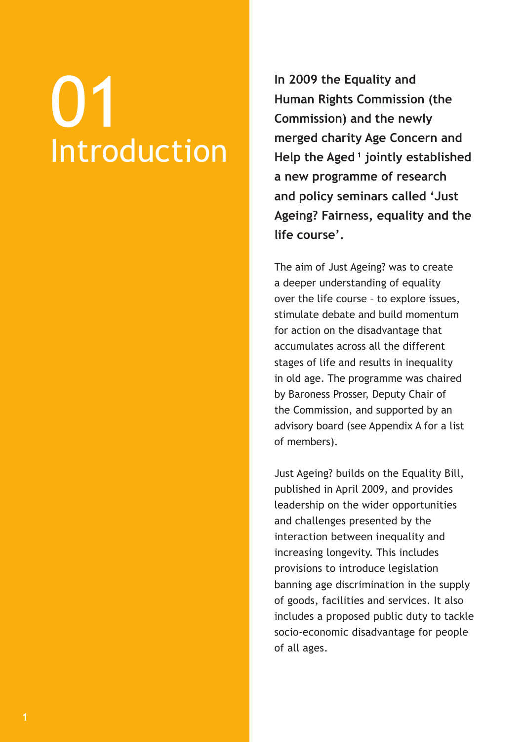# 01 Introduction

**In 2009 the Equality and Human Rights Commission (the Commission) and the newly merged charity Age Concern and Help the Aged 1 jointly established a new programme of research and policy seminars called 'Just Ageing? Fairness, equality and the life course'.**

The aim of Just Ageing? was to create a deeper understanding of equality over the life course – to explore issues, stimulate debate and build momentum for action on the disadvantage that accumulates across all the different stages of life and results in inequality in old age. The programme was chaired by Baroness Prosser, Deputy Chair of the Commission, and supported by an advisory board (see Appendix A for a list of members).

Just Ageing? builds on the Equality Bill, published in April 2009, and provides leadership on the wider opportunities and challenges presented by the interaction between inequality and increasing longevity. This includes provisions to introduce legislation banning age discrimination in the supply of goods, facilities and services. It also includes a proposed public duty to tackle socio-economic disadvantage for people of all ages.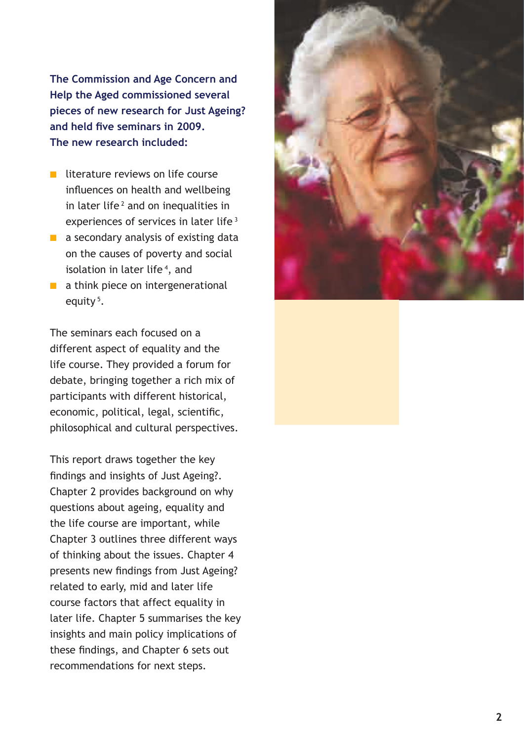**The Commission and Age Concern and Help the Aged commissioned several pieces of new research for Just Ageing? and held five seminars in 2009. The new research included:** 

- $\blacksquare$  literature reviews on life course influences on health and wellbeing in later life<sup>2</sup> and on inequalities in experiences of services in later life<sup>3</sup>
- $\blacksquare$  a secondary analysis of existing data on the causes of poverty and social isolation in later life<sup>4</sup>, and
- $\blacksquare$  a think piece on intergenerational equity<sup>5</sup>.

The seminars each focused on a different aspect of equality and the life course. They provided a forum for debate, bringing together a rich mix of participants with different historical, economic, political, legal, scientific, philosophical and cultural perspectives.

This report draws together the key findings and insights of Just Ageing?. Chapter 2 provides background on why questions about ageing, equality and the life course are important, while Chapter 3 outlines three different ways of thinking about the issues. Chapter 4 presents new findings from Just Ageing? related to early, mid and later life course factors that affect equality in later life. Chapter 5 summarises the key insights and main policy implications of these findings, and Chapter 6 sets out recommendations for next steps.

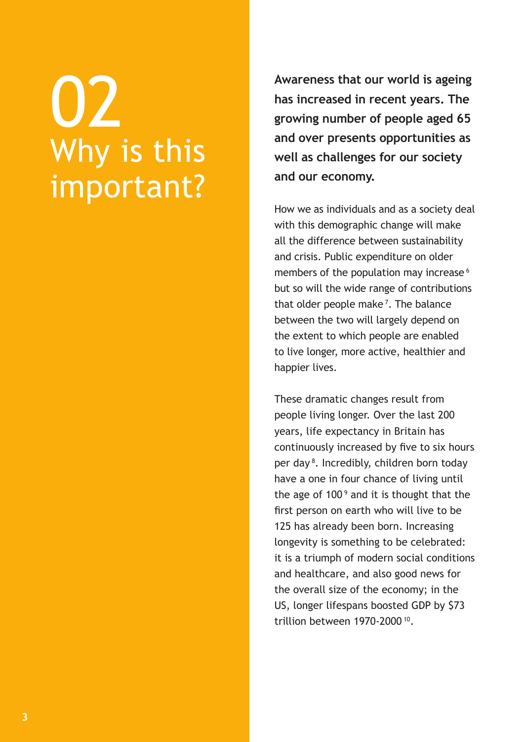## 02 Why is this important?

**Awareness that our world is ageing has increased in recent years. The growing number of people aged 65 and over presents opportunities as well as challenges for our society and our economy.** 

How we as individuals and as a society deal with this demographic change will make all the difference between sustainability and crisis. Public expenditure on older members of the population may increase<sup>6</sup> but so will the wide range of contributions that older people make<sup>7</sup>. The balance between the two will largely depend on the extent to which people are enabled to live longer, more active, healthier and happier lives.

These dramatic changes result from people living longer. Over the last 200 years, life expectancy in Britain has continuously increased by five to six hours per day 8. Incredibly, children born today have a one in four chance of living until the age of 100<sup>9</sup> and it is thought that the first person on earth who will live to be 125 has already been born. Increasing longevity is something to be celebrated: it is a triumph of modern social conditions and healthcare, and also good news for the overall size of the economy; in the US, longer lifespans boosted GDP by \$73 trillion between 1970-2000 10.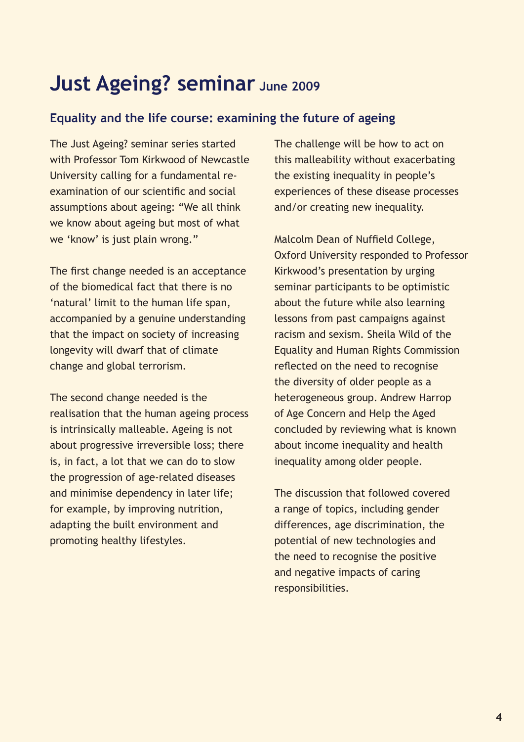### **Just Ageing? seminar June 2009**

### **Equality and the life course: examining the future of ageing**

The Just Ageing? seminar series started with Professor Tom Kirkwood of Newcastle University calling for a fundamental reexamination of our scientific and social assumptions about ageing: "We all think we know about ageing but most of what we 'know' is just plain wrong."

The first change needed is an acceptance of the biomedical fact that there is no 'natural' limit to the human life span, accompanied by a genuine understanding that the impact on society of increasing longevity will dwarf that of climate change and global terrorism.

The second change needed is the realisation that the human ageing process is intrinsically malleable. Ageing is not about progressive irreversible loss; there is, in fact, a lot that we can do to slow the progression of age-related diseases and minimise dependency in later life; for example, by improving nutrition, adapting the built environment and promoting healthy lifestyles.

The challenge will be how to act on this malleability without exacerbating the existing inequality in people's experiences of these disease processes and/or creating new inequality.

Malcolm Dean of Nuffield College, Oxford University responded to Professor Kirkwood's presentation by urging seminar participants to be optimistic about the future while also learning lessons from past campaigns against racism and sexism. Sheila Wild of the Equality and Human Rights Commission reflected on the need to recognise the diversity of older people as a heterogeneous group. Andrew Harrop of Age Concern and Help the Aged concluded by reviewing what is known about income inequality and health inequality among older people.

The discussion that followed covered a range of topics, including gender differences, age discrimination, the potential of new technologies and the need to recognise the positive and negative impacts of caring responsibilities.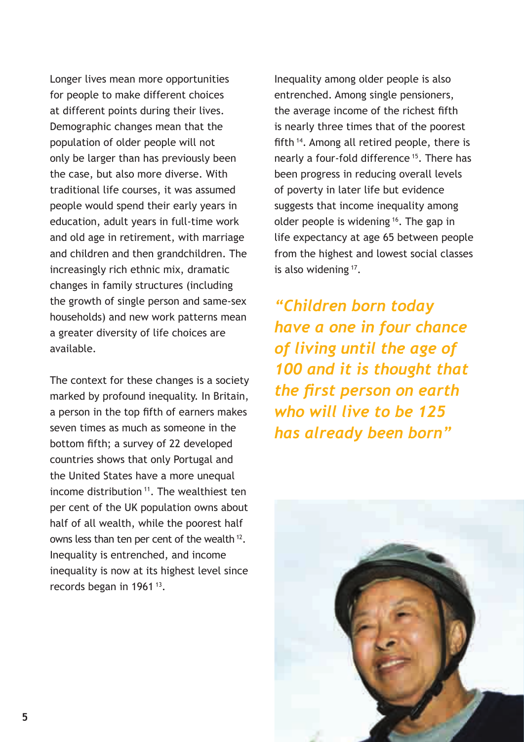Longer lives mean more opportunities for people to make different choices at different points during their lives. Demographic changes mean that the population of older people will not only be larger than has previously been the case, but also more diverse. With traditional life courses, it was assumed people would spend their early years in education, adult years in full-time work and old age in retirement, with marriage and children and then grandchildren. The increasingly rich ethnic mix, dramatic changes in family structures (including the growth of single person and same-sex households) and new work patterns mean a greater diversity of life choices are available.

The context for these changes is a society marked by profound inequality. In Britain, a person in the top fifth of earners makes seven times as much as someone in the bottom fifth; a survey of 22 developed countries shows that only Portugal and the United States have a more unequal income distribution<sup>11</sup>. The wealthiest ten per cent of the UK population owns about half of all wealth, while the poorest half owns less than ten per cent of the wealth 12. Inequality is entrenched, and income inequality is now at its highest level since records began in 1961<sup>13</sup>.

Inequality among older people is also entrenched. Among single pensioners, the average income of the richest fifth is nearly three times that of the poorest fifth 14. Among all retired people, there is nearly a four-fold difference 15. There has been progress in reducing overall levels of poverty in later life but evidence suggests that income inequality among older people is widening 16. The gap in life expectancy at age 65 between people from the highest and lowest social classes is also widening 17.

*"Children born today have a one in four chance of living until the age of 100 and it is thought that the first person on earth who will live to be 125 has already been born"*

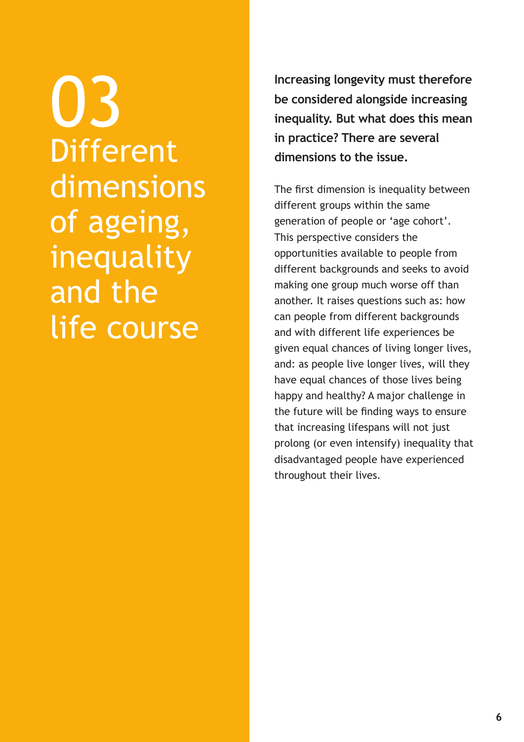03 **Different** dimensions of ageing, inequality and the life course

**Increasing longevity must therefore be considered alongside increasing inequality. But what does this mean in practice? There are several dimensions to the issue.**

The first dimension is inequality between different groups within the same generation of people or 'age cohort'. This perspective considers the opportunities available to people from different backgrounds and seeks to avoid making one group much worse off than another. It raises questions such as: how can people from different backgrounds and with different life experiences be given equal chances of living longer lives, and: as people live longer lives, will they have equal chances of those lives being happy and healthy? A major challenge in the future will be finding ways to ensure that increasing lifespans will not just prolong (or even intensify) inequality that disadvantaged people have experienced throughout their lives.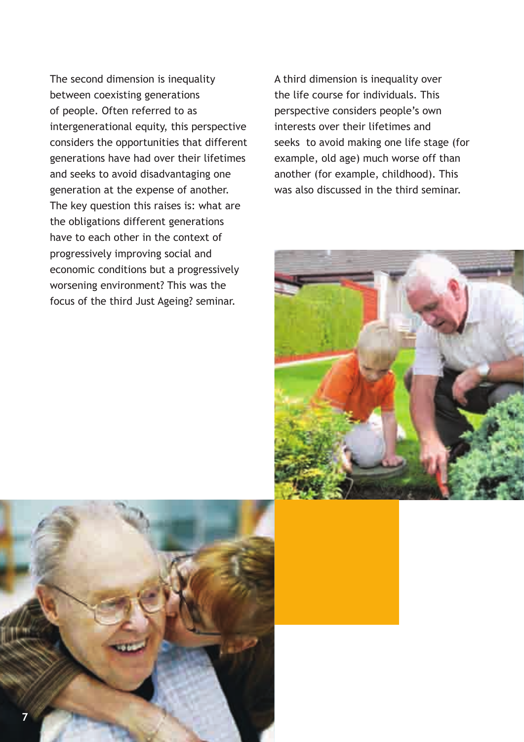The second dimension is inequality between coexisting generations of people. Often referred to as intergenerational equity, this perspective considers the opportunities that different generations have had over their lifetimes and seeks to avoid disadvantaging one generation at the expense of another. The key question this raises is: what are the obligations different generations have to each other in the context of progressively improving social and economic conditions but a progressively worsening environment? This was the focus of the third Just Ageing? seminar.

A third dimension is inequality over the life course for individuals. This perspective considers people's own interests over their lifetimes and seeks to avoid making one life stage (for example, old age) much worse off than another (for example, childhood). This was also discussed in the third seminar.



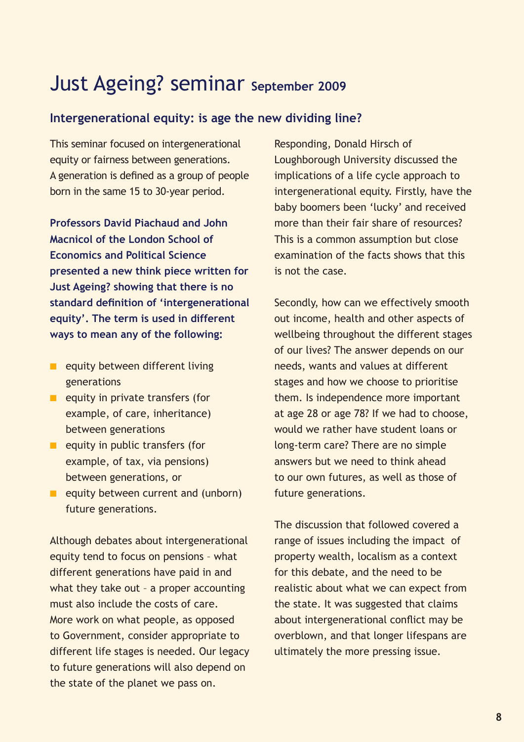### Just Ageing? seminar **September 2009**

### **Intergenerational equity: is age the new dividing line?**

This seminar focused on intergenerational equity or fairness between generations. A generation is defined as a group of people born in the same 15 to 30-year period.

**Professors David Piachaud and John Macnicol of the London School of Economics and Political Science presented a new think piece written for Just Ageing? showing that there is no standard definition of 'intergenerational equity'. The term is used in different ways to mean any of the following:**

- $\blacksquare$  equity between different living generations
- $\blacksquare$  equity in private transfers (for example, of care, inheritance) between generations
- $\blacksquare$  equity in public transfers (for example, of tax, via pensions) between generations, or
- $\blacksquare$  equity between current and (unborn) future generations.

Although debates about intergenerational equity tend to focus on pensions – what different generations have paid in and what they take out – a proper accounting must also include the costs of care. More work on what people, as opposed to Government, consider appropriate to different life stages is needed. Our legacy to future generations will also depend on the state of the planet we pass on.

Responding, Donald Hirsch of Loughborough University discussed the implications of a life cycle approach to intergenerational equity. Firstly, have the baby boomers been 'lucky' and received more than their fair share of resources? This is a common assumption but close examination of the facts shows that this is not the case.

Secondly, how can we effectively smooth out income, health and other aspects of wellbeing throughout the different stages of our lives? The answer depends on our needs, wants and values at different stages and how we choose to prioritise them. Is independence more important at age 28 or age 78? If we had to choose, would we rather have student loans or long-term care? There are no simple answers but we need to think ahead to our own futures, as well as those of future generations.

The discussion that followed covered a range of issues including the impact of property wealth, localism as a context for this debate, and the need to be realistic about what we can expect from the state. It was suggested that claims about intergenerational conflict may be overblown, and that longer lifespans are ultimately the more pressing issue.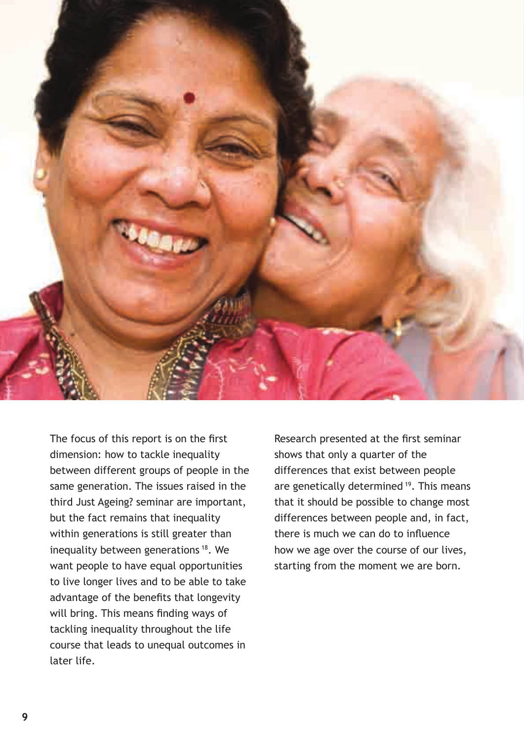

The focus of this report is on the first dimension: how to tackle inequality between different groups of people in the same generation. The issues raised in the third Just Ageing? seminar are important, but the fact remains that inequality within generations is still greater than inequality between generations<sup>18</sup>. We want people to have equal opportunities to live longer lives and to be able to take advantage of the benefits that longevity will bring. This means finding ways of tackling inequality throughout the life course that leads to unequal outcomes in later life.

Research presented at the first seminar shows that only a quarter of the differences that exist between people are genetically determined <sup>19</sup>. This means that it should be possible to change most differences between people and, in fact, there is much we can do to influence how we age over the course of our lives, starting from the moment we are born.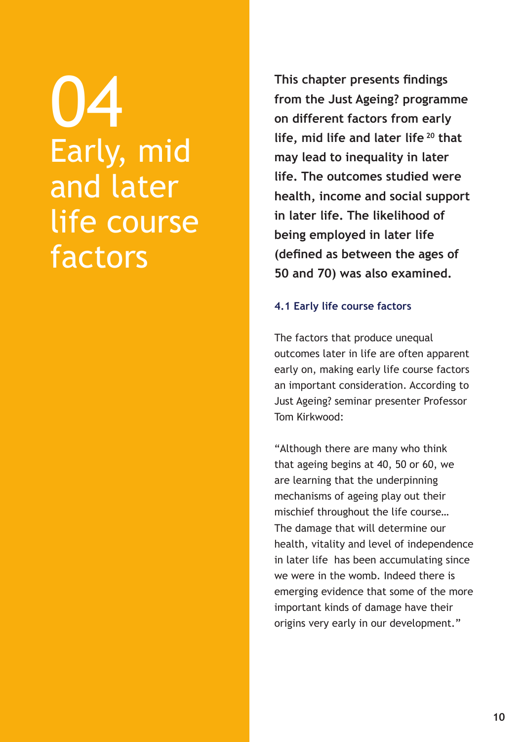04 Early, mid and later life course factors

**This chapter presents findings from the Just Ageing? programme on different factors from early life, mid life and later life 20 that may lead to inequality in later life. The outcomes studied were health, income and social support in later life. The likelihood of being employed in later life (defined as between the ages of 50 and 70) was also examined.**

### **4.1 Early life course factors**

The factors that produce unequal outcomes later in life are often apparent early on, making early life course factors an important consideration. According to Just Ageing? seminar presenter Professor Tom Kirkwood:

"Although there are many who think that ageing begins at 40, 50 or 60, we are learning that the underpinning mechanisms of ageing play out their mischief throughout the life course… The damage that will determine our health, vitality and level of independence in later life has been accumulating since we were in the womb. Indeed there is emerging evidence that some of the more important kinds of damage have their origins very early in our development."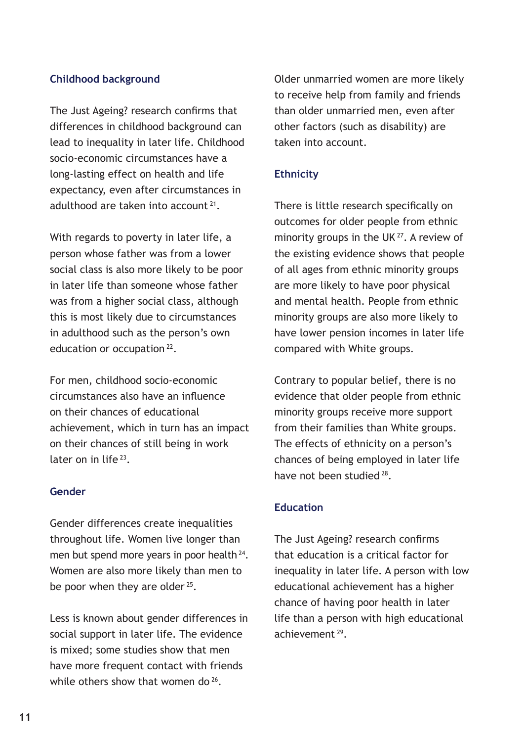### **Childhood background**

The Just Ageing? research confirms that differences in childhood background can lead to inequality in later life. Childhood socio-economic circumstances have a long-lasting effect on health and life expectancy, even after circumstances in adulthood are taken into account 21.

With regards to poverty in later life, a person whose father was from a lower social class is also more likely to be poor in later life than someone whose father was from a higher social class, although this is most likely due to circumstances in adulthood such as the person's own education or occupation 22.

For men, childhood socio-economic circumstances also have an influence on their chances of educational achievement, which in turn has an impact on their chances of still being in work later on in life<sup>23</sup>

### **Gender**

Gender differences create inequalities throughout life. Women live longer than men but spend more years in poor health <sup>24</sup>. Women are also more likely than men to be poor when they are older  $25$ .

Less is known about gender differences in social support in later life. The evidence is mixed; some studies show that men have more frequent contact with friends while others show that women do <sup>26</sup>.

Older unmarried women are more likely to receive help from family and friends than older unmarried men, even after other factors (such as disability) are taken into account.

### **Ethnicity**

There is little research specifically on outcomes for older people from ethnic minority groups in the UK<sup>27</sup>. A review of the existing evidence shows that people of all ages from ethnic minority groups are more likely to have poor physical and mental health. People from ethnic minority groups are also more likely to have lower pension incomes in later life compared with White groups.

Contrary to popular belief, there is no evidence that older people from ethnic minority groups receive more support from their families than White groups. The effects of ethnicity on a person's chances of being employed in later life have not been studied 28.

### **Education**

The Just Ageing? research confirms that education is a critical factor for inequality in later life. A person with low educational achievement has a higher chance of having poor health in later life than a person with high educational achievement 29.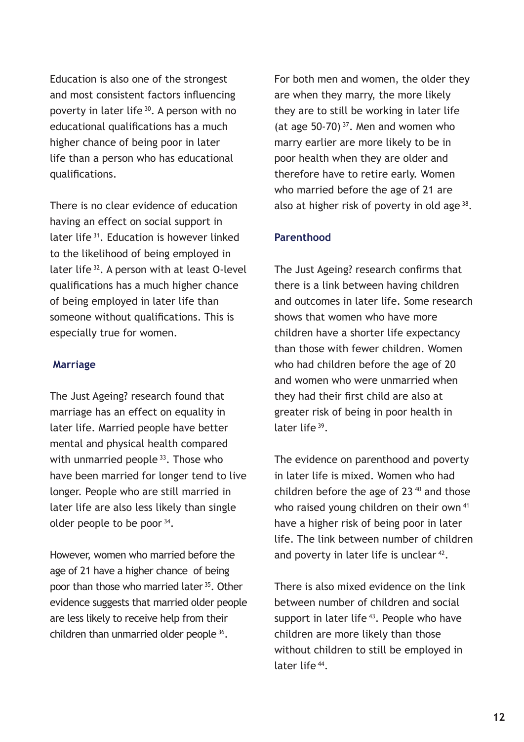Education is also one of the strongest and most consistent factors influencing poverty in later life 30. A person with no educational qualifications has a much higher chance of being poor in later life than a person who has educational qualifications.

There is no clear evidence of education having an effect on social support in later life 31. Education is however linked to the likelihood of being employed in later life 32. A person with at least O-level qualifications has a much higher chance of being employed in later life than someone without qualifications. This is especially true for women.

#### **Marriage**

The Just Ageing? research found that marriage has an effect on equality in later life. Married people have better mental and physical health compared with unmarried people <sup>33</sup>. Those who have been married for longer tend to live longer. People who are still married in later life are also less likely than single older people to be poor 34.

However, women who married before the age of 21 have a higher chance of being poor than those who married later <sup>35</sup>. Other evidence suggests that married older people are less likely to receive help from their children than unmarried older people 36.

For both men and women, the older they are when they marry, the more likely they are to still be working in later life (at age  $50-70$ )<sup>37</sup>. Men and women who marry earlier are more likely to be in poor health when they are older and therefore have to retire early. Women who married before the age of 21 are also at higher risk of poverty in old age 38.

#### **Parenthood**

The Just Ageing? research confirms that there is a link between having children and outcomes in later life. Some research shows that women who have more children have a shorter life expectancy than those with fewer children. Women who had children before the age of 20 and women who were unmarried when they had their first child are also at greater risk of being in poor health in later life<sup>39</sup>.

The evidence on parenthood and poverty in later life is mixed. Women who had children before the age of  $23^{40}$  and those who raised young children on their own<sup>41</sup> have a higher risk of being poor in later life. The link between number of children and poverty in later life is unclear <sup>42</sup>.

There is also mixed evidence on the link between number of children and social support in later life<sup>43</sup>. People who have children are more likely than those without children to still be employed in later life 44.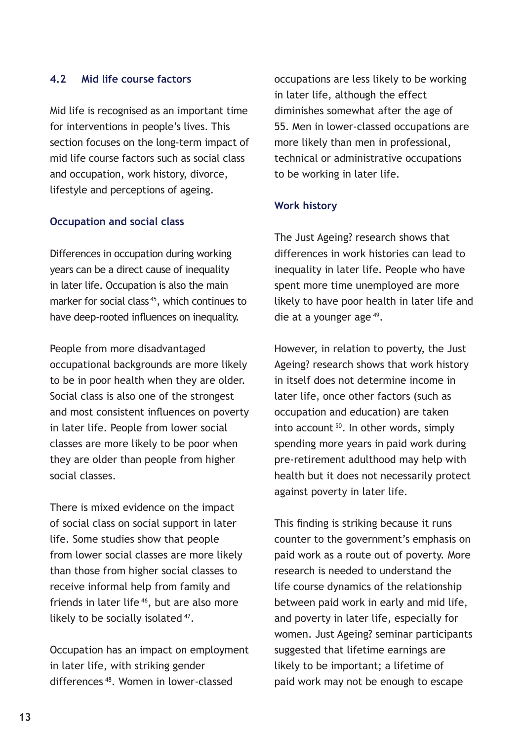### **4.2 Mid life course factors**

Mid life is recognised as an important time for interventions in people's lives. This section focuses on the long-term impact of mid life course factors such as social class and occupation, work history, divorce, lifestyle and perceptions of ageing.

### **Occupation and social class**

Differences in occupation during working years can be a direct cause of inequality in later life. Occupation is also the main marker for social class<sup>45</sup>, which continues to have deep-rooted influences on inequality.

People from more disadvantaged occupational backgrounds are more likely to be in poor health when they are older. Social class is also one of the strongest and most consistent influences on poverty in later life. People from lower social classes are more likely to be poor when they are older than people from higher social classes.

There is mixed evidence on the impact of social class on social support in later life. Some studies show that people from lower social classes are more likely than those from higher social classes to receive informal help from family and friends in later life<sup>46</sup>, but are also more likely to be socially isolated 47.

Occupation has an impact on employment in later life, with striking gender differences 48. Women in lower-classed

occupations are less likely to be working in later life, although the effect diminishes somewhat after the age of 55. Men in lower-classed occupations are more likely than men in professional, technical or administrative occupations to be working in later life.

### **Work history**

The Just Ageing? research shows that differences in work histories can lead to inequality in later life. People who have spent more time unemployed are more likely to have poor health in later life and die at a younger age 49.

However, in relation to poverty, the Just Ageing? research shows that work history in itself does not determine income in later life, once other factors (such as occupation and education) are taken into account 50. In other words, simply spending more years in paid work during pre-retirement adulthood may help with health but it does not necessarily protect against poverty in later life.

This finding is striking because it runs counter to the government's emphasis on paid work as a route out of poverty. More research is needed to understand the life course dynamics of the relationship between paid work in early and mid life, and poverty in later life, especially for women. Just Ageing? seminar participants suggested that lifetime earnings are likely to be important; a lifetime of paid work may not be enough to escape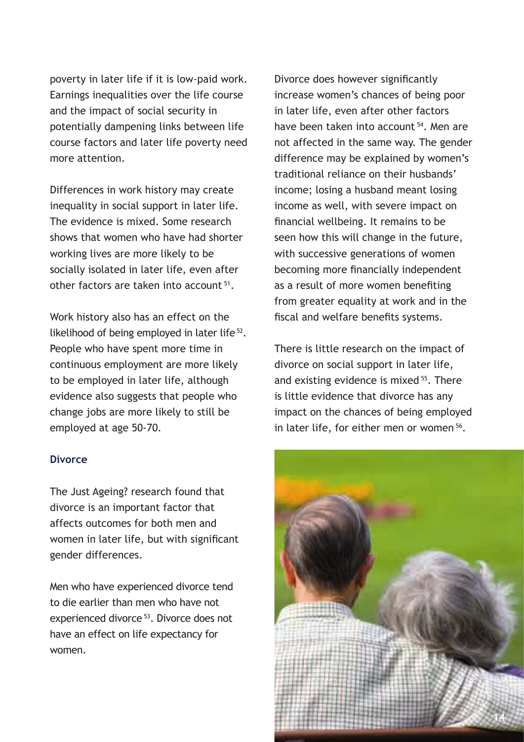poverty in later life if it is low-paid work. Earnings inequalities over the life course and the impact of social security in potentially dampening links between life course factors and later life poverty need more attention.

Differences in work history may create inequality in social support in later life. The evidence is mixed. Some research shows that women who have had shorter working lives are more likely to be socially isolated in later life, even after other factors are taken into account 51.

Work history also has an effect on the likelihood of being employed in later life 52. People who have spent more time in continuous employment are more likely to be employed in later life, although evidence also suggests that people who change jobs are more likely to still be employed at age 50-70.

#### **Divorce**

The Just Ageing? research found that divorce is an important factor that affects outcomes for both men and women in later life, but with significant gender differences.

Men who have experienced divorce tend to die earlier than men who have not experienced divorce 53. Divorce does not have an effect on life expectancy for women.

Divorce does however significantly increase women's chances of being poor in later life, even after other factors have been taken into account <sup>54</sup>. Men are not affected in the same way. The gender difference may be explained by women's traditional reliance on their husbands' income; losing a husband meant losing income as well, with severe impact on financial wellbeing. It remains to be seen how this will change in the future, with successive generations of women becoming more financially independent as a result of more women benefiting from greater equality at work and in the fiscal and welfare benefits systems.

There is little research on the impact of divorce on social support in later life, and existing evidence is mixed <sup>55</sup>. There is little evidence that divorce has any impact on the chances of being employed in later life, for either men or women 56.

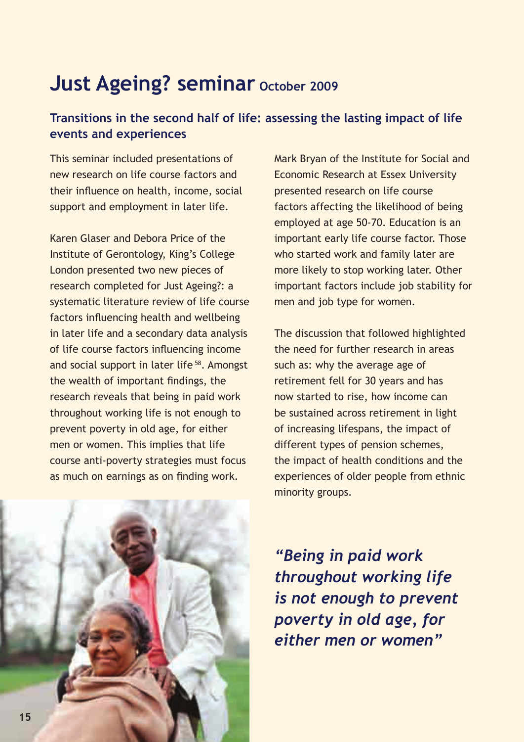### **Just Ageing? seminar October 2009**

### **Transitions in the second half of life: assessing the lasting impact of life events and experiences**

This seminar included presentations of new research on life course factors and their influence on health, income, social support and employment in later life.

Karen Glaser and Debora Price of the Institute of Gerontology, King's College London presented two new pieces of research completed for Just Ageing?: a systematic literature review of life course factors influencing health and wellbeing in later life and a secondary data analysis of life course factors influencing income and social support in later life 58. Amongst the wealth of important findings, the research reveals that being in paid work throughout working life is not enough to prevent poverty in old age, for either men or women. This implies that life course anti-poverty strategies must focus as much on earnings as on finding work.

Mark Bryan of the Institute for Social and Economic Research at Essex University presented research on life course factors affecting the likelihood of being employed at age 50-70. Education is an important early life course factor. Those who started work and family later are more likely to stop working later. Other important factors include job stability for men and job type for women.

The discussion that followed highlighted the need for further research in areas such as: why the average age of retirement fell for 30 years and has now started to rise, how income can be sustained across retirement in light of increasing lifespans, the impact of different types of pension schemes, the impact of health conditions and the experiences of older people from ethnic minority groups.



*"Being in paid work throughout working life is not enough to prevent poverty in old age, for either men or women"*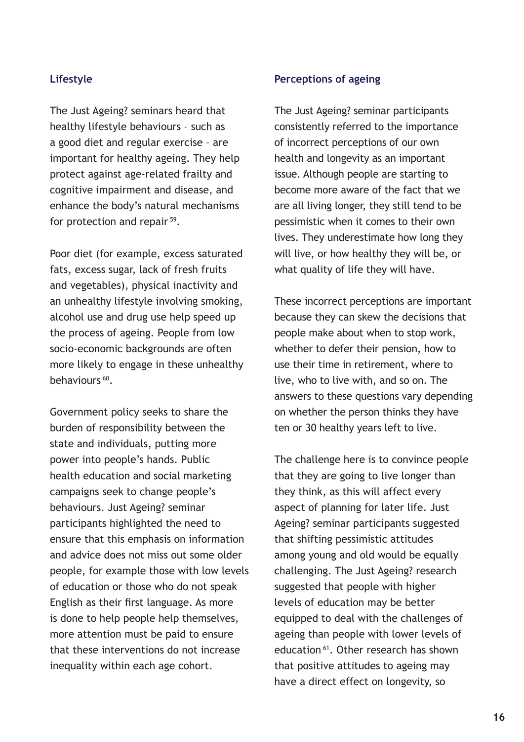### **Lifestyle**

The Just Ageing? seminars heard that healthy lifestyle behaviours – such as a good diet and regular exercise – are important for healthy ageing. They help protect against age-related frailty and cognitive impairment and disease, and enhance the body's natural mechanisms for protection and repair <sup>59</sup>.

Poor diet (for example, excess saturated fats, excess sugar, lack of fresh fruits and vegetables), physical inactivity and an unhealthy lifestyle involving smoking, alcohol use and drug use help speed up the process of ageing. People from low socio-economic backgrounds are often more likely to engage in these unhealthy behaviours<sup>60</sup>.

Government policy seeks to share the burden of responsibility between the state and individuals, putting more power into people's hands. Public health education and social marketing campaigns seek to change people's behaviours. Just Ageing? seminar participants highlighted the need to ensure that this emphasis on information and advice does not miss out some older people, for example those with low levels of education or those who do not speak English as their first language. As more is done to help people help themselves, more attention must be paid to ensure that these interventions do not increase inequality within each age cohort.

#### **Perceptions of ageing**

The Just Ageing? seminar participants consistently referred to the importance of incorrect perceptions of our own health and longevity as an important issue. Although people are starting to become more aware of the fact that we are all living longer, they still tend to be pessimistic when it comes to their own lives. They underestimate how long they will live, or how healthy they will be, or what quality of life they will have.

These incorrect perceptions are important because they can skew the decisions that people make about when to stop work, whether to defer their pension, how to use their time in retirement, where to live, who to live with, and so on. The answers to these questions vary depending on whether the person thinks they have ten or 30 healthy years left to live.

The challenge here is to convince people that they are going to live longer than they think, as this will affect every aspect of planning for later life. Just Ageing? seminar participants suggested that shifting pessimistic attitudes among young and old would be equally challenging. The Just Ageing? research suggested that people with higher levels of education may be better equipped to deal with the challenges of ageing than people with lower levels of education 61. Other research has shown that positive attitudes to ageing may have a direct effect on longevity, so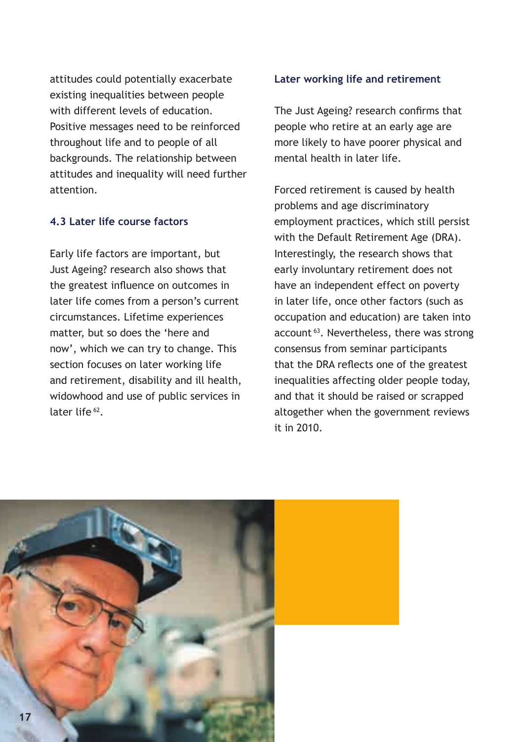attitudes could potentially exacerbate existing inequalities between people with different levels of education. Positive messages need to be reinforced throughout life and to people of all backgrounds. The relationship between attitudes and inequality will need further attention.

### **4.3 Later life course factors**

Early life factors are important, but Just Ageing? research also shows that the greatest influence on outcomes in later life comes from a person's current circumstances. Lifetime experiences matter, but so does the 'here and now', which we can try to change. This section focuses on later working life and retirement, disability and ill health, widowhood and use of public services in later life<sup>62</sup>.

#### **Later working life and retirement**

The Just Ageing? research confirms that people who retire at an early age are more likely to have poorer physical and mental health in later life.

Forced retirement is caused by health problems and age discriminatory employment practices, which still persist with the Default Retirement Age (DRA). Interestingly, the research shows that early involuntary retirement does not have an independent effect on poverty in later life, once other factors (such as occupation and education) are taken into account<sup>63</sup>. Nevertheless, there was strong consensus from seminar participants that the DRA reflects one of the greatest inequalities affecting older people today, and that it should be raised or scrapped altogether when the government reviews it in 2010.

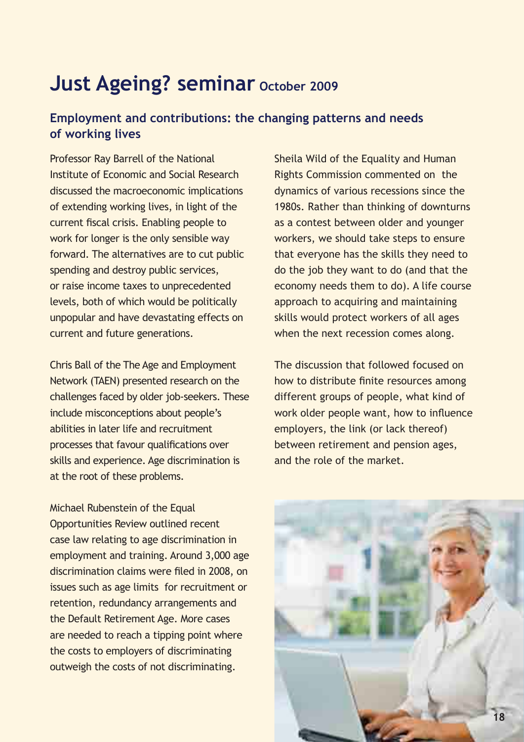### **Just Ageing? seminar October 2009**

### **Employment and contributions: the changing patterns and needs of working lives**

Professor Ray Barrell of the National Institute of Economic and Social Research discussed the macroeconomic implications of extending working lives, in light of the current fiscal crisis. Enabling people to work for longer is the only sensible way forward. The alternatives are to cut public spending and destroy public services, or raise income taxes to unprecedented levels, both of which would be politically unpopular and have devastating effects on current and future generations.

Chris Ball of the The Age and Employment Network (TAEN) presented research on the challenges faced by older job-seekers. These include misconceptions about people's abilities in later life and recruitment processes that favour qualifications over skills and experience. Age discrimination is at the root of these problems.

Michael Rubenstein of the Equal Opportunities Review outlined recent case law relating to age discrimination in employment and training. Around 3,000 age discrimination claims were filed in 2008, on issues such as age limits for recruitment or retention, redundancy arrangements and the Default Retirement Age. More cases are needed to reach a tipping point where the costs to employers of discriminating outweigh the costs of not discriminating.

Sheila Wild of the Equality and Human Rights Commission commented on the dynamics of various recessions since the 1980s. Rather than thinking of downturns as a contest between older and younger workers, we should take steps to ensure that everyone has the skills they need to do the job they want to do (and that the economy needs them to do). A life course approach to acquiring and maintaining skills would protect workers of all ages when the next recession comes along.

The discussion that followed focused on how to distribute finite resources among different groups of people, what kind of work older people want, how to influence employers, the link (or lack thereof) between retirement and pension ages, and the role of the market.

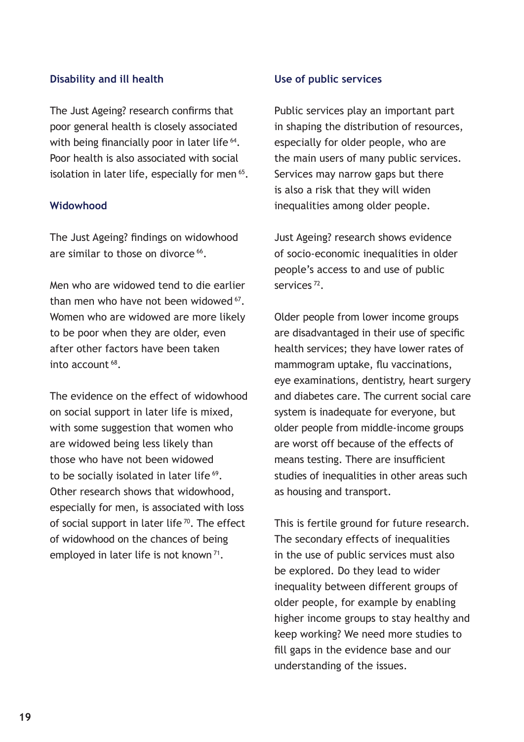### **Disability and ill health**

The Just Ageing? research confirms that poor general health is closely associated with being financially poor in later life <sup>64</sup>. Poor health is also associated with social isolation in later life, especially for men <sup>65</sup>.

#### **Widowhood**

The Just Ageing? findings on widowhood are similar to those on divorce <sup>66</sup>.

Men who are widowed tend to die earlier than men who have not been widowed 67. Women who are widowed are more likely to be poor when they are older, even after other factors have been taken into account 68.

The evidence on the effect of widowhood on social support in later life is mixed, with some suggestion that women who are widowed being less likely than those who have not been widowed to be socially isolated in later life<sup>69</sup>. Other research shows that widowhood, especially for men, is associated with loss of social support in later life  $\frac{70}{10}$ . The effect of widowhood on the chances of being employed in later life is not known<sup>71</sup>.

#### **Use of public services**

Public services play an important part in shaping the distribution of resources, especially for older people, who are the main users of many public services. Services may narrow gaps but there is also a risk that they will widen inequalities among older people.

Just Ageing? research shows evidence of socio-economic inequalities in older people's access to and use of public services 72.

Older people from lower income groups are disadvantaged in their use of specific health services; they have lower rates of mammogram uptake, flu vaccinations, eye examinations, dentistry, heart surgery and diabetes care. The current social care system is inadequate for everyone, but older people from middle-income groups are worst off because of the effects of means testing. There are insufficient studies of inequalities in other areas such as housing and transport.

This is fertile ground for future research. The secondary effects of inequalities in the use of public services must also be explored. Do they lead to wider inequality between different groups of older people, for example by enabling higher income groups to stay healthy and keep working? We need more studies to fill gaps in the evidence base and our understanding of the issues.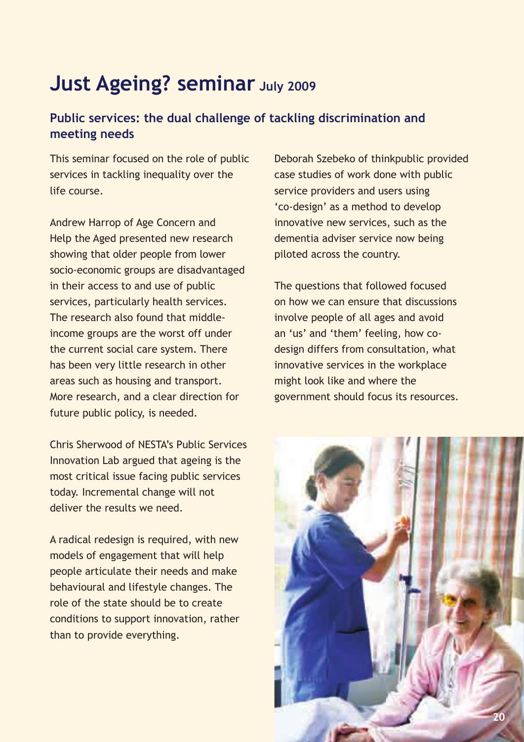### **Just Ageing? seminar July 2009**

### **Public services: the dual challenge of tackling discrimination and meeting needs**

This seminar focused on the role of public services in tackling inequality over the life course.

Andrew Harrop of Age Concern and Help the Aged presented new research showing that older people from lower socio-economic groups are disadvantaged in their access to and use of public services, particularly health services. The research also found that middleincome groups are the worst off under the current social care system. There has been very little research in other areas such as housing and transport. More research, and a clear direction for future public policy, is needed.

Chris Sherwood of NESTA's Public Services Innovation Lab argued that ageing is the most critical issue facing public services today. Incremental change will not deliver the results we need.

A radical redesign is required, with new models of engagement that will help people articulate their needs and make behavioural and lifestyle changes. The role of the state should be to create conditions to support innovation, rather than to provide everything.

Deborah Szebeko of thinkpublic provided case studies of work done with public service providers and users using 'co-design' as a method to develop innovative new services, such as the dementia adviser service now being piloted across the country.

The questions that followed focused on how we can ensure that discussions involve people of all ages and avoid an 'us' and 'them' feeling, how codesign differs from consultation, what innovative services in the workplace might look like and where the government should focus its resources.

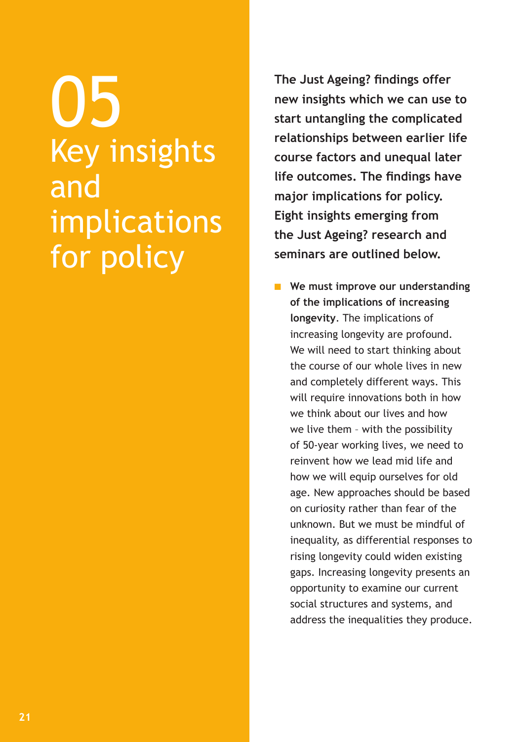05 Key insights and implications for policy

**The Just Ageing? findings offer new insights which we can use to start untangling the complicated relationships between earlier life course factors and unequal later life outcomes. The findings have major implications for policy. Eight insights emerging from the Just Ageing? research and seminars are outlined below.**

**n** We must improve our understanding **of the implications of increasing longevity**. The implications of increasing longevity are profound. We will need to start thinking about the course of our whole lives in new and completely different ways. This will require innovations both in how we think about our lives and how we live them – with the possibility of 50-year working lives, we need to reinvent how we lead mid life and how we will equip ourselves for old age. New approaches should be based on curiosity rather than fear of the unknown. But we must be mindful of inequality, as differential responses to rising longevity could widen existing gaps. Increasing longevity presents an opportunity to examine our current social structures and systems, and address the inequalities they produce.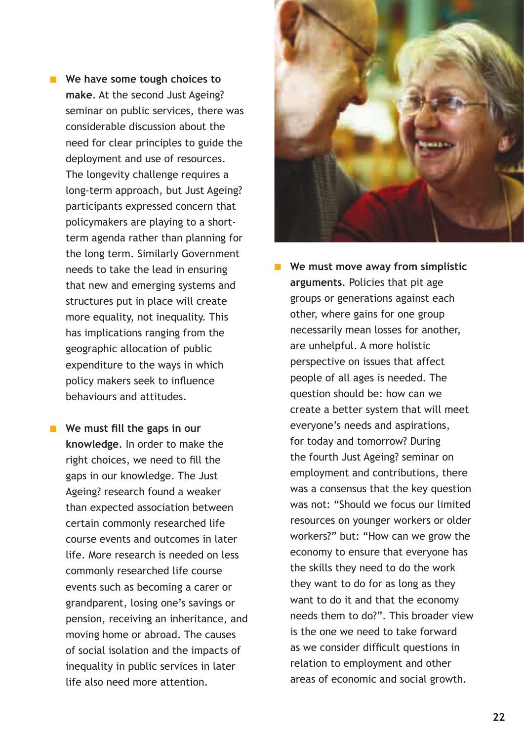**Notable 3 No Except We have some tough choices to make**. At the second Just Ageing? seminar on public services, there was considerable discussion about the need for clear principles to guide the deployment and use of resources. The longevity challenge requires a long-term approach, but Just Ageing? participants expressed concern that policymakers are playing to a shortterm agenda rather than planning for the long term. Similarly Government needs to take the lead in ensuring that new and emerging systems and structures put in place will create more equality, not inequality. This has implications ranging from the geographic allocation of public expenditure to the ways in which policy makers seek to influence behaviours and attitudes.

**n** We must fill the gaps in our **knowledge**. In order to make the right choices, we need to fill the gaps in our knowledge. The Just Ageing? research found a weaker than expected association between certain commonly researched life course events and outcomes in later life. More research is needed on less commonly researched life course events such as becoming a carer or grandparent, losing one's savings or pension, receiving an inheritance, and moving home or abroad. The causes of social isolation and the impacts of inequality in public services in later life also need more attention.



**n** We must move away from simplistic **arguments**. Policies that pit age groups or generations against each other, where gains for one group necessarily mean losses for another, are unhelpful. A more holistic perspective on issues that affect people of all ages is needed. The question should be: how can we create a better system that will meet everyone's needs and aspirations, for today and tomorrow? During the fourth Just Ageing? seminar on employment and contributions, there was a consensus that the key question was not: "Should we focus our limited resources on younger workers or older workers?" but: "How can we grow the economy to ensure that everyone has the skills they need to do the work they want to do for as long as they want to do it and that the economy needs them to do?". This broader view is the one we need to take forward as we consider difficult questions in relation to employment and other areas of economic and social growth.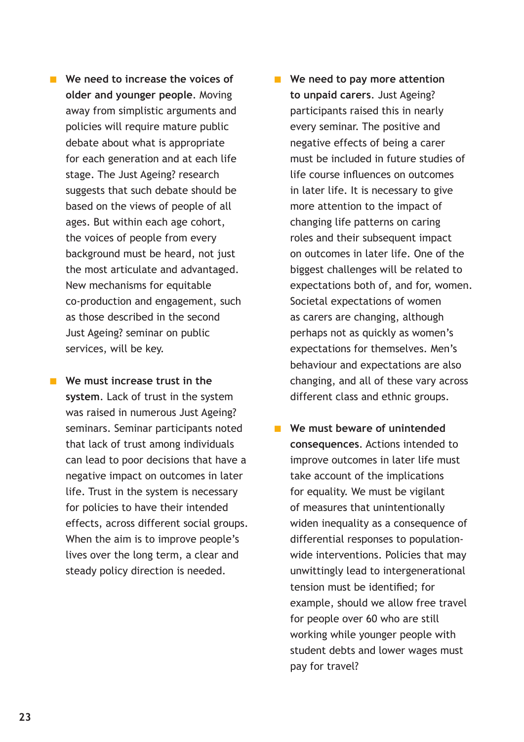- **Notable 10 Increase the voices of older and younger people**. Moving away from simplistic arguments and policies will require mature public debate about what is appropriate for each generation and at each life stage. The Just Ageing? research suggests that such debate should be based on the views of people of all ages. But within each age cohort, the voices of people from every background must be heard, not just the most articulate and advantaged. New mechanisms for equitable co-production and engagement, such as those described in the second Just Ageing? seminar on public services, will be key.
- **n** We must increase trust in the **system**. Lack of trust in the system was raised in numerous Just Ageing? seminars. Seminar participants noted that lack of trust among individuals can lead to poor decisions that have a negative impact on outcomes in later life. Trust in the system is necessary for policies to have their intended effects, across different social groups. When the aim is to improve people's lives over the long term, a clear and steady policy direction is needed.
- **n** We need to pay more attention **to unpaid carers**. Just Ageing? participants raised this in nearly every seminar. The positive and negative effects of being a carer must be included in future studies of life course influences on outcomes in later life. It is necessary to give more attention to the impact of changing life patterns on caring roles and their subsequent impact on outcomes in later life. One of the biggest challenges will be related to expectations both of, and for, women. Societal expectations of women as carers are changing, although perhaps not as quickly as women's expectations for themselves. Men's behaviour and expectations are also changing, and all of these vary across different class and ethnic groups.
- **n** We must beware of unintended **consequences**. Actions intended to improve outcomes in later life must take account of the implications for equality. We must be vigilant of measures that unintentionally widen inequality as a consequence of differential responses to populationwide interventions. Policies that may unwittingly lead to intergenerational tension must be identified; for example, should we allow free travel for people over 60 who are still working while younger people with student debts and lower wages must pay for travel?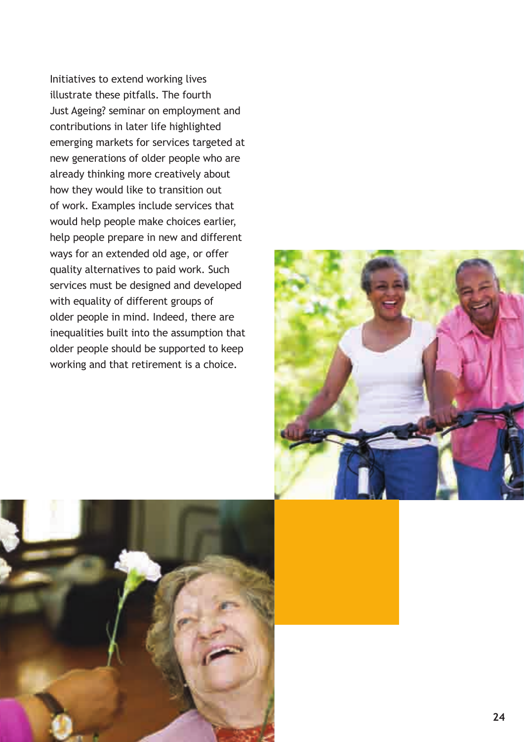Initiatives to extend working lives illustrate these pitfalls. The fourth Just Ageing? seminar on employment and contributions in later life highlighted emerging markets for services targeted at new generations of older people who are already thinking more creatively about how they would like to transition out of work. Examples include services that would help people make choices earlier, help people prepare in new and different ways for an extended old age, or offer quality alternatives to paid work. Such services must be designed and developed with equality of different groups of older people in mind. Indeed, there are inequalities built into the assumption that older people should be supported to keep working and that retirement is a choice.



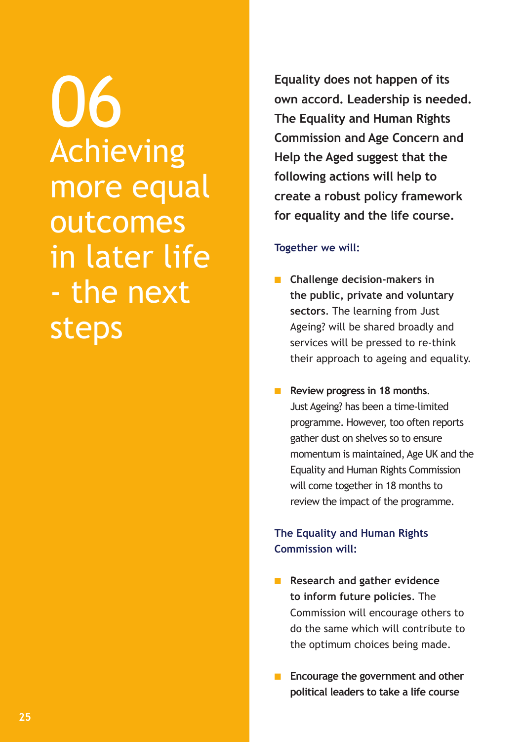06 Achieving more equal outcomes in later life - the next steps

**Equality does not happen of its own accord. Leadership is needed. The Equality and Human Rights Commission and Age Concern and Help the Aged suggest that the following actions will help to create a robust policy framework for equality and the life course.**

### **Together we will:**

- **n** Challenge decision-makers in **the public, private and voluntary sectors**. The learning from Just Ageing? will be shared broadly and services will be pressed to re-think their approach to ageing and equality.
- **n** Review progress in 18 months. Just Ageing? has been a time-limited programme. However, too often reports gather dust on shelves so to ensure momentum is maintained, Age UK and the Equality and Human Rights Commission will come together in 18 months to review the impact of the programme.

### **The Equality and Human Rights Commission will:**

- **n** Research and gather evidence **to inform future policies**. The Commission will encourage others to do the same which will contribute to the optimum choices being made.
- **n** Encourage the government and other **political leaders to take a life course**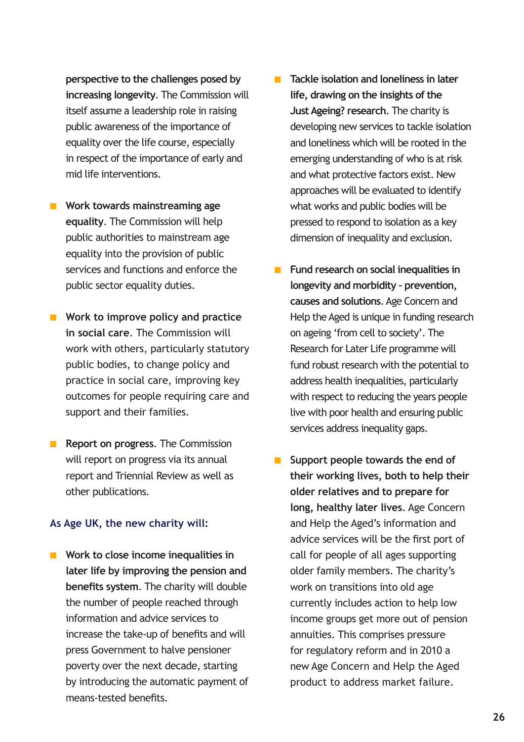**perspective to the challenges posed by increasing longevity**. The Commission will itself assume a leadership role in raising public awareness of the importance of equality over the life course, especially in respect of the importance of early and mid life interventions.

- **n** Work towards mainstreaming age **equality**. The Commission will help public authorities to mainstream age equality into the provision of public services and functions and enforce the public sector equality duties.
- **n** Work to improve policy and practice **in social care**. The Commission will work with others, particularly statutory public bodies, to change policy and practice in social care, improving key outcomes for people requiring care and support and their families.
- **n Report on progress**. The Commission will report on progress via its annual report and Triennial Review as well as other publications.

#### **As Age UK, the new charity will:**

**n** Work to close income inequalities in **later life by improving the pension and benefits system**. The charity will double the number of people reached through information and advice services to increase the take-up of benefits and will press Government to halve pensioner poverty over the next decade, starting by introducing the automatic payment of means-tested benefits.

- **n** Tackle isolation and loneliness in later **life, drawing on the insights of the Just Ageing? research**. The charity is developing new services to tackle isolation and loneliness which will be rooted in the emerging understanding of who is at risk and what protective factors exist. New approaches will be evaluated to identify what works and public bodies will be pressed to respond to isolation as a key dimension of inequality and exclusion.
- **n** Fund research on social inequalities in **longevity and morbidity – prevention, causes and solutions**. Age Concern and Help the Aged is unique in funding research on ageing 'from cell to society'. The Research for Later Life programme will fund robust research with the potential to address health inequalities, particularly with respect to reducing the years people live with poor health and ensuring public services address inequality gaps.
- **n** Support people towards the end of **their working lives, both to help their older relatives and to prepare for long, healthy later lives**. Age Concern and Help the Aged's information and advice services will be the first port of call for people of all ages supporting older family members. The charity's work on transitions into old age currently includes action to help low income groups get more out of pension annuities. This comprises pressure for regulatory reform and in 2010 a new Age Concern and Help the Aged product to address market failure.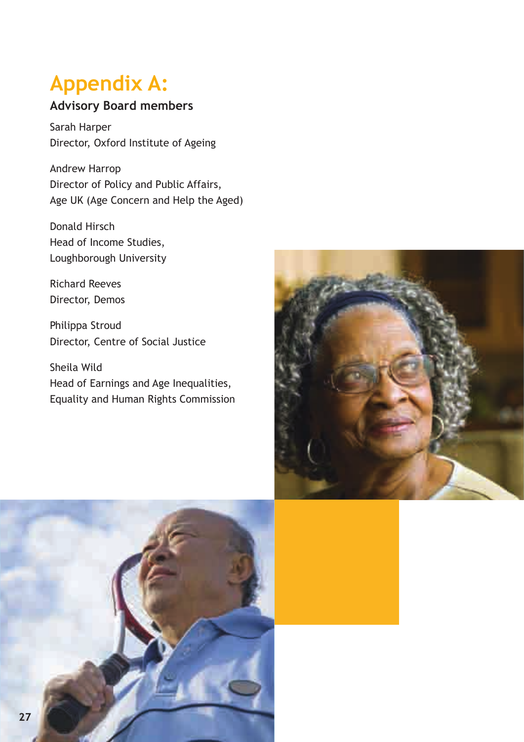### **Appendix A:**

### **Advisory Board members**

Sarah Harper Director, Oxford Institute of Ageing

Andrew Harrop Director of Policy and Public Affairs, Age UK (Age Concern and Help the Aged)

Donald Hirsch Head of Income Studies, Loughborough University

Richard Reeves Director, Demos

Philippa Stroud Director, Centre of Social Justice

Sheila Wild Head of Earnings and Age Inequalities, Equality and Human Rights Commission



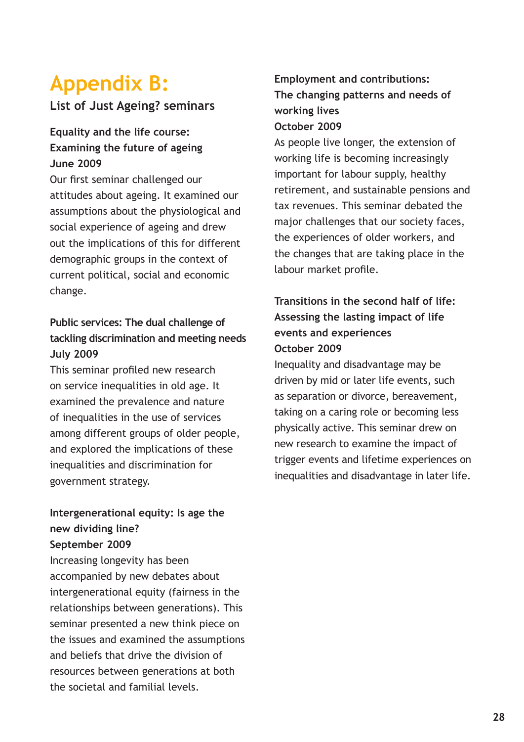### **Appendix B:**

### **List of Just Ageing? seminars**

### **Equality and the life course: Examining the future of ageing June 2009**

Our first seminar challenged our attitudes about ageing. It examined our assumptions about the physiological and social experience of ageing and drew out the implications of this for different demographic groups in the context of current political, social and economic change.

### **Public services: The dual challenge of tackling discrimination and meeting needs July 2009**

This seminar profiled new research on service inequalities in old age. It examined the prevalence and nature of inequalities in the use of services among different groups of older people, and explored the implications of these inequalities and discrimination for government strategy.

### **Intergenerational equity: Is age the new dividing line? September 2009**

Increasing longevity has been accompanied by new debates about intergenerational equity (fairness in the relationships between generations). This seminar presented a new think piece on the issues and examined the assumptions and beliefs that drive the division of resources between generations at both the societal and familial levels.

### **Employment and contributions: The changing patterns and needs of working lives October 2009**

As people live longer, the extension of working life is becoming increasingly important for labour supply, healthy retirement, and sustainable pensions and tax revenues. This seminar debated the major challenges that our society faces, the experiences of older workers, and the changes that are taking place in the labour market profile.

### **Transitions in the second half of life: Assessing the lasting impact of life events and experiences October 2009**

Inequality and disadvantage may be driven by mid or later life events, such as separation or divorce, bereavement, taking on a caring role or becoming less physically active. This seminar drew on new research to examine the impact of trigger events and lifetime experiences on inequalities and disadvantage in later life.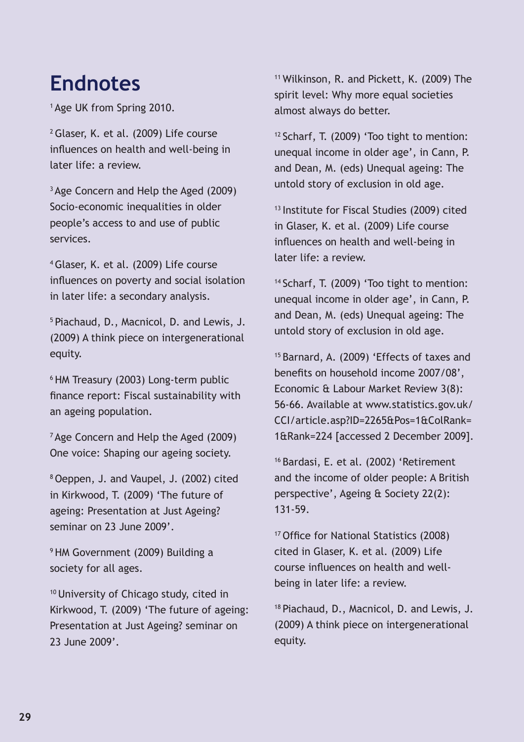### **Endnotes**

1 Age UK from Spring 2010.

2 Glaser, K. et al. (2009) Life course influences on health and well-being in later life: a review.

<sup>3</sup> Age Concern and Help the Aged (2009) Socio-economic inequalities in older people's access to and use of public services.

4 Glaser, K. et al. (2009) Life course influences on poverty and social isolation in later life: a secondary analysis.

5 Piachaud, D., Macnicol, D. and Lewis, J. (2009) A think piece on intergenerational equity.

6 HM Treasury (2003) Long-term public finance report: Fiscal sustainability with an ageing population.

<sup>7</sup> Age Concern and Help the Aged (2009) One voice: Shaping our ageing society.

8 Oeppen, J. and Vaupel, J. (2002) cited in Kirkwood, T. (2009) 'The future of ageing: Presentation at Just Ageing? seminar on 23 June 2009'.

<sup>9</sup> HM Government (2009) Building a society for all ages.

10 University of Chicago study, cited in Kirkwood, T. (2009) 'The future of ageing: Presentation at Just Ageing? seminar on 23 June 2009'.

11 Wilkinson, R. and Pickett, K. (2009) The spirit level: Why more equal societies almost always do better.

12 Scharf, T. (2009) 'Too tight to mention: unequal income in older age', in Cann, P. and Dean, M. (eds) Unequal ageing: The untold story of exclusion in old age.

13 Institute for Fiscal Studies (2009) cited in Glaser, K. et al. (2009) Life course influences on health and well-being in later life: a review.

14 Scharf, T. (2009) 'Too tight to mention: unequal income in older age', in Cann, P. and Dean, M. (eds) Unequal ageing: The untold story of exclusion in old age.

15 Barnard, A. (2009) 'Effects of taxes and benefits on household income 2007/08', Economic & Labour Market Review 3(8): 56-66. Available at www.statistics.gov.uk/ CCI/article.asp?ID=2265&Pos=1&ColRank= 1&Rank=224 [accessed 2 December 2009].

16 Bardasi, E. et al. (2002) 'Retirement and the income of older people: A British perspective', Ageing & Society 22(2): 131-59.

17 Office for National Statistics (2008) cited in Glaser, K. et al. (2009) Life course influences on health and wellbeing in later life: a review.

18 Piachaud, D., Macnicol, D. and Lewis, J. (2009) A think piece on intergenerational equity.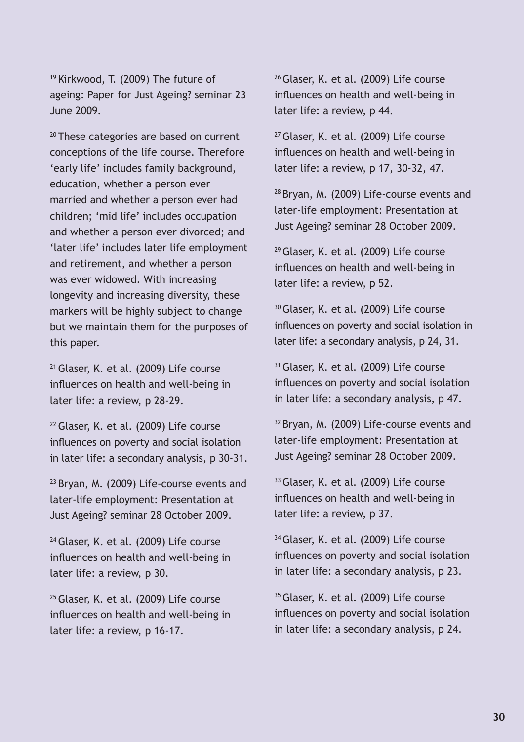19 Kirkwood, T. (2009) The future of ageing: Paper for Just Ageing? seminar 23 June 2009.

<sup>20</sup> These categories are based on current conceptions of the life course. Therefore 'early life' includes family background, education, whether a person ever married and whether a person ever had children; 'mid life' includes occupation and whether a person ever divorced; and 'later life' includes later life employment and retirement, and whether a person was ever widowed. With increasing longevity and increasing diversity, these markers will be highly subject to change but we maintain them for the purposes of this paper.

21 Glaser, K. et al. (2009) Life course influences on health and well-being in later life: a review, p 28-29.

22 Glaser, K. et al. (2009) Life course influences on poverty and social isolation in later life: a secondary analysis, p 30-31.

<sup>23</sup> Bryan, M. (2009) Life-course events and later-life employment: Presentation at Just Ageing? seminar 28 October 2009.

<sup>24</sup> Glaser, K. et al. (2009) Life course influences on health and well-being in later life: a review, p 30.

<sup>25</sup> Glaser, K. et al. (2009) Life course influences on health and well-being in later life: a review, p 16-17.

26 Glaser, K. et al. (2009) Life course influences on health and well-being in later life: a review, p 44.

27 Glaser, K. et al. (2009) Life course influences on health and well-being in later life: a review, p 17, 30-32, 47.

28 Bryan, M. (2009) Life-course events and later-life employment: Presentation at Just Ageing? seminar 28 October 2009.

29 Glaser, K. et al. (2009) Life course influences on health and well-being in later life: a review, p 52.

<sup>30</sup> Glaser, K. et al. (2009) Life course influences on poverty and social isolation in later life: a secondary analysis, p 24, 31.

<sup>31</sup> Glaser, K. et al. (2009) Life course influences on poverty and social isolation in later life: a secondary analysis, p 47.

<sup>32</sup> Bryan, M. (2009) Life-course events and later-life employment: Presentation at Just Ageing? seminar 28 October 2009.

<sup>33</sup> Glaser, K. et al. (2009) Life course influences on health and well-being in later life: a review, p 37.

<sup>34</sup> Glaser, K. et al. (2009) Life course influences on poverty and social isolation in later life: a secondary analysis, p 23.

<sup>35</sup> Glaser, K. et al. (2009) Life course influences on poverty and social isolation in later life: a secondary analysis, p 24.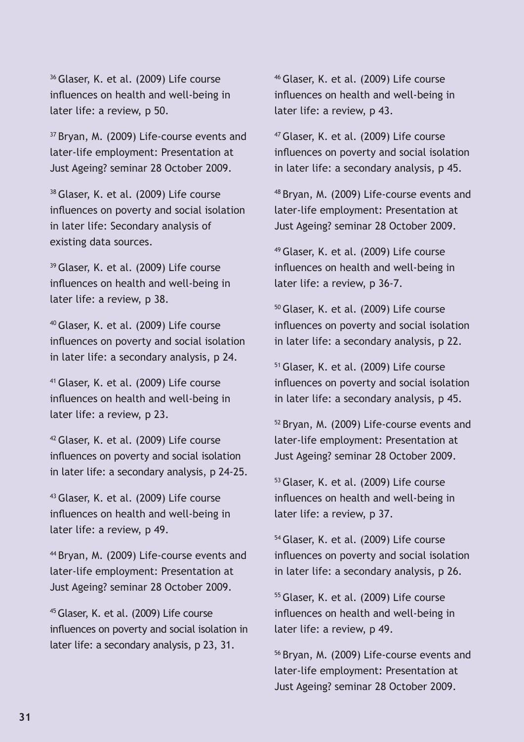36 Glaser, K. et al. (2009) Life course influences on health and well-being in later life: a review, p 50.

<sup>37</sup> Bryan, M. (2009) Life-course events and later-life employment: Presentation at Just Ageing? seminar 28 October 2009.

38 Glaser, K. et al. (2009) Life course influences on poverty and social isolation in later life: Secondary analysis of existing data sources.

39 Glaser, K. et al. (2009) Life course influences on health and well-being in later life: a review, p 38.

40 Glaser, K. et al. (2009) Life course influences on poverty and social isolation in later life: a secondary analysis, p 24.

41 Glaser, K. et al. (2009) Life course influences on health and well-being in later life: a review, p 23.

42 Glaser, K. et al. (2009) Life course influences on poverty and social isolation in later life: a secondary analysis, p 24-25.

43 Glaser, K. et al. (2009) Life course influences on health and well-being in later life: a review, p 49.

44 Bryan, M. (2009) Life-course events and later-life employment: Presentation at Just Ageing? seminar 28 October 2009.

45 Glaser, K. et al. (2009) Life course influences on poverty and social isolation in later life: a secondary analysis, p 23, 31.

46 Glaser, K. et al. (2009) Life course influences on health and well-being in later life: a review, p 43.

47 Glaser, K. et al. (2009) Life course influences on poverty and social isolation in later life: a secondary analysis, p 45.

48 Bryan, M. (2009) Life-course events and later-life employment: Presentation at Just Ageing? seminar 28 October 2009.

49 Glaser, K. et al. (2009) Life course influences on health and well-being in later life: a review, p 36-7.

50 Glaser, K. et al. (2009) Life course influences on poverty and social isolation in later life: a secondary analysis, p 22.

51 Glaser, K. et al. (2009) Life course influences on poverty and social isolation in later life: a secondary analysis, p 45.

52 Bryan, M. (2009) Life-course events and later-life employment: Presentation at Just Ageing? seminar 28 October 2009.

53 Glaser, K. et al. (2009) Life course influences on health and well-being in later life: a review, p 37.

54 Glaser, K. et al. (2009) Life course influences on poverty and social isolation in later life: a secondary analysis, p 26.

55 Glaser, K. et al. (2009) Life course influences on health and well-being in later life: a review, p 49.

56 Bryan, M. (2009) Life-course events and later-life employment: Presentation at Just Ageing? seminar 28 October 2009.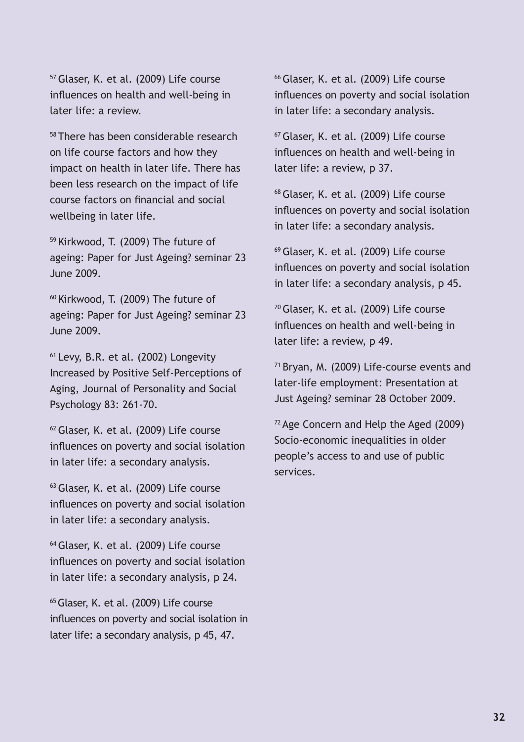57 Glaser, K. et al. (2009) Life course influences on health and well-being in later life: a review.

58 There has been considerable research on life course factors and how they impact on health in later life. There has been less research on the impact of life course factors on financial and social wellbeing in later life.

59 Kirkwood, T. (2009) The future of ageing: Paper for Just Ageing? seminar 23 June 2009.

60 Kirkwood, T. (2009) The future of ageing: Paper for Just Ageing? seminar 23 June 2009.

61 Levy, B.R. et al. (2002) Longevity Increased by Positive Self-Perceptions of Aging, Journal of Personality and Social Psychology 83: 261-70.

62 Glaser, K. et al. (2009) Life course influences on poverty and social isolation in later life: a secondary analysis.

63 Glaser, K. et al. (2009) Life course influences on poverty and social isolation in later life: a secondary analysis.

64 Glaser, K. et al. (2009) Life course influences on poverty and social isolation in later life: a secondary analysis, p 24.

65 Glaser, K. et al. (2009) Life course influences on poverty and social isolation in later life: a secondary analysis, p 45, 47.

66 Glaser, K. et al. (2009) Life course influences on poverty and social isolation in later life: a secondary analysis.

67 Glaser, K. et al. (2009) Life course influences on health and well-being in later life: a review, p 37.

68 Glaser, K. et al. (2009) Life course influences on poverty and social isolation in later life: a secondary analysis.

69 Glaser, K. et al. (2009) Life course influences on poverty and social isolation in later life: a secondary analysis, p 45.

70 Glaser, K. et al. (2009) Life course influences on health and well-being in later life: a review, p 49.

71 Bryan, M. (2009) Life-course events and later-life employment: Presentation at Just Ageing? seminar 28 October 2009.

72 Age Concern and Help the Aged (2009) Socio-economic inequalities in older people's access to and use of public services.